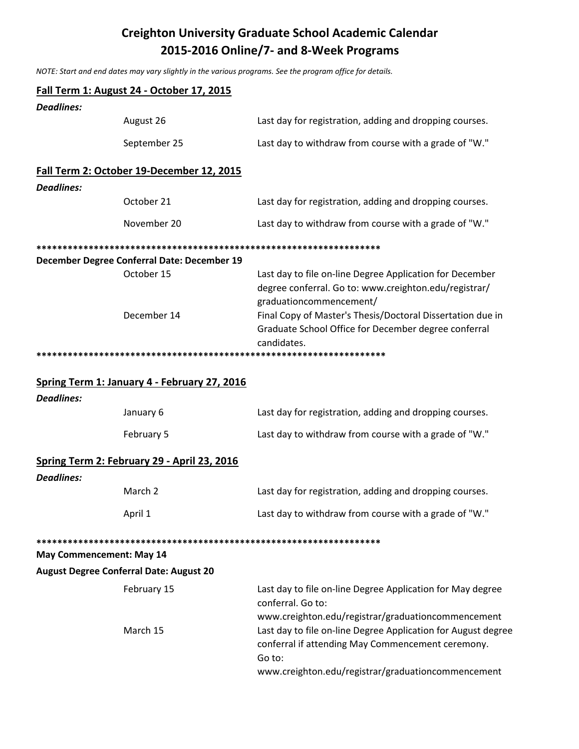## **Creighton University Graduate School Academic Calendar** 2015-2016 Online/7- and 8-Week Programs

NOTE: Start and end dates may vary slightly in the various programs. See the program office for details.

|                   | Fall Term 1: August 24 - October 17, 2015      |                                                                                                                                                                                                                                                                    |
|-------------------|------------------------------------------------|--------------------------------------------------------------------------------------------------------------------------------------------------------------------------------------------------------------------------------------------------------------------|
| <b>Deadlines:</b> |                                                |                                                                                                                                                                                                                                                                    |
|                   | August 26                                      | Last day for registration, adding and dropping courses.                                                                                                                                                                                                            |
|                   | September 25                                   | Last day to withdraw from course with a grade of "W."                                                                                                                                                                                                              |
|                   | Fall Term 2: October 19-December 12, 2015      |                                                                                                                                                                                                                                                                    |
| <b>Deadlines:</b> |                                                |                                                                                                                                                                                                                                                                    |
|                   | October 21                                     | Last day for registration, adding and dropping courses.                                                                                                                                                                                                            |
|                   | November 20                                    | Last day to withdraw from course with a grade of "W."                                                                                                                                                                                                              |
|                   |                                                |                                                                                                                                                                                                                                                                    |
|                   | December Degree Conferral Date: December 19    |                                                                                                                                                                                                                                                                    |
|                   | October 15<br>December 14                      | Last day to file on-line Degree Application for December<br>degree conferral. Go to: www.creighton.edu/registrar/<br>graduationcommencement/<br>Final Copy of Master's Thesis/Doctoral Dissertation due in<br>Graduate School Office for December degree conferral |
|                   |                                                | candidates.                                                                                                                                                                                                                                                        |
|                   |                                                | ******************                                                                                                                                                                                                                                                 |
|                   | Spring Term 1: January 4 - February 27, 2016   |                                                                                                                                                                                                                                                                    |
| <b>Deadlines:</b> |                                                |                                                                                                                                                                                                                                                                    |
|                   | January 6                                      | Last day for registration, adding and dropping courses.                                                                                                                                                                                                            |
|                   | February 5                                     | Last day to withdraw from course with a grade of "W."                                                                                                                                                                                                              |
|                   | Spring Term 2: February 29 - April 23, 2016    |                                                                                                                                                                                                                                                                    |
| <b>Deadlines:</b> |                                                |                                                                                                                                                                                                                                                                    |
|                   | March <sub>2</sub>                             | Last day for registration, adding and dropping courses.                                                                                                                                                                                                            |
|                   | April 1                                        | Last day to withdraw from course with a grade of "W."                                                                                                                                                                                                              |
|                   |                                                |                                                                                                                                                                                                                                                                    |
|                   | May Commencement: May 14                       |                                                                                                                                                                                                                                                                    |
|                   | <b>August Degree Conferral Date: August 20</b> |                                                                                                                                                                                                                                                                    |
|                   | February 15                                    | Last day to file on-line Degree Application for May degree<br>conferral. Go to:                                                                                                                                                                                    |
|                   |                                                | www.creighton.edu/registrar/graduationcommencement                                                                                                                                                                                                                 |
|                   | March 15                                       | Last day to file on-line Degree Application for August degree<br>conferral if attending May Commencement ceremony.<br>Go to:                                                                                                                                       |
|                   |                                                | www.creighton.edu/registrar/graduationcommencement                                                                                                                                                                                                                 |